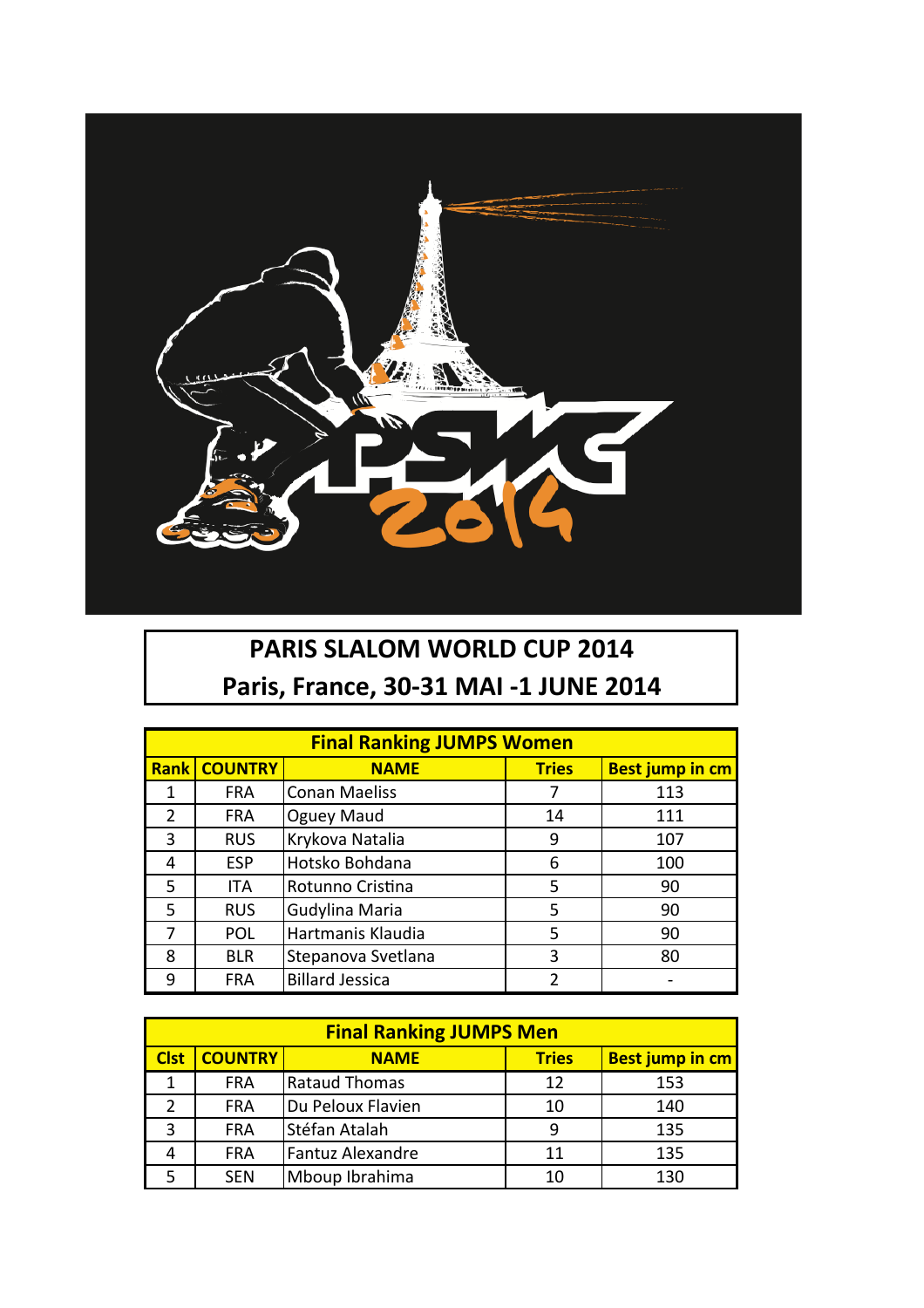

## **PARIS SLALOM WORLD CUP 2014 Paris, France, 30-31 MAI -1 JUNE 2014**

| <b>Final Ranking JUMPS Women</b> |                |                        |              |                        |  |  |  |
|----------------------------------|----------------|------------------------|--------------|------------------------|--|--|--|
| <b>Rank</b>                      | <b>COUNTRY</b> | <b>NAME</b>            | <b>Tries</b> | <b>Best jump in cm</b> |  |  |  |
| 1                                | <b>FRA</b>     | <b>Conan Maeliss</b>   |              | 113                    |  |  |  |
| $\overline{2}$                   | <b>FRA</b>     | Oguey Maud             | 14           | 111                    |  |  |  |
| 3                                | <b>RUS</b>     | Krykova Natalia        | 9            | 107                    |  |  |  |
| 4                                | <b>ESP</b>     | Hotsko Bohdana         | 6            | 100                    |  |  |  |
| 5                                | ITA            | Rotunno Cristina       | 5            | 90                     |  |  |  |
| 5                                | <b>RUS</b>     | Gudylina Maria         | 5            | 90                     |  |  |  |
| 7                                | <b>POL</b>     | Hartmanis Klaudia      | 5            | 90                     |  |  |  |
| 8                                | <b>BLR</b>     | Stepanova Svetlana     | 3            | 80                     |  |  |  |
| 9                                | <b>FRA</b>     | <b>Billard Jessica</b> | 2            |                        |  |  |  |

| <b>Final Ranking JUMPS Men</b> |                |                   |              |                        |  |  |  |
|--------------------------------|----------------|-------------------|--------------|------------------------|--|--|--|
| <b>Clst</b>                    | <b>COUNTRY</b> | <b>NAME</b>       | <b>Tries</b> | <b>Best jump in cm</b> |  |  |  |
|                                | <b>FRA</b>     | Rataud Thomas     | 12           | 153                    |  |  |  |
| 7                              | <b>FRA</b>     | Du Peloux Flavien | 10           | 140                    |  |  |  |
| 3                              | <b>FRA</b>     | Stéfan Atalah     | q            | 135                    |  |  |  |
|                                | <b>FRA</b>     | Fantuz Alexandre  | 11           | 135                    |  |  |  |
|                                | <b>SEN</b>     | Mboup Ibrahima    | 10           | 130                    |  |  |  |